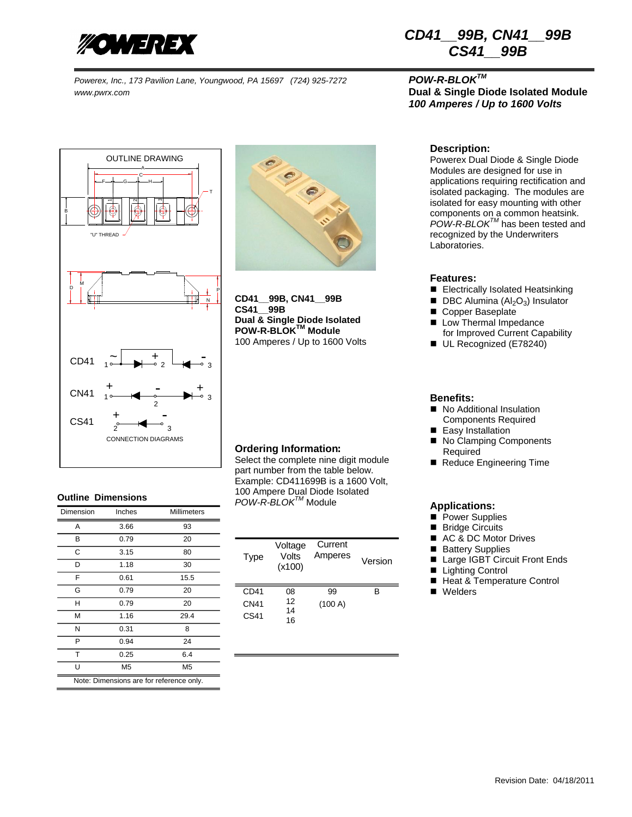

*Powerex, Inc., 173 Pavilion Lane, Youngwood, PA 15697 (724) 925-7272 POW-R-BLOKTM www.pwrx.com* **Dual & Single Diode Isolated Module**





**CD41\_\_99B, CN41\_\_99B CS41\_\_99B Dual & Single Diode Isolated POW-R-BLOKTM Module** 100 Amperes / Up to 1600 Volts

## **Ordering Information**:

Select the complete nine digit module part number from the table below. Example: CD411699B is a 1600 Volt, 100 Ampere Dual Diode Isolated *POW-R-BLOKTM* Module

| Type             | Voltage<br>Volts<br>(x100) | Current<br>Amperes | Version |
|------------------|----------------------------|--------------------|---------|
| CD41             | 08                         | 99                 | R       |
| <b>CN41</b>      | 12<br>14                   | (100 A)            |         |
| CS <sub>41</sub> | 16                         |                    |         |

## *CD41\_\_99B, CN41\_\_99B CS41\_\_99B*

# *100 Amperes / Up to 1600 Volts*

## **Description:**

Powerex Dual Diode & Single Diode Modules are designed for use in applications requiring rectification and isolated packaging. The modules are isolated for easy mounting with other components on a common heatsink. *POW-R-BLOKTM* has been tested and recognized by the Underwriters Laboratories.

### **Features:**

- Electrically Isolated Heatsinking
- $\blacksquare$  DBC Alumina (Al<sub>2</sub>O<sub>3</sub>) Insulator
- Copper Baseplate
- Low Thermal Impedance for Improved Current Capability
- UL Recognized (E78240)

#### **Benefits:**

- No Additional Insulation Components Required
- Easy Installation
- No Clamping Components Required
- Reduce Engineering Time

## **Applications:**

- **Power Supplies**
- **Bridge Circuits**
- AC & DC Motor Drives
- **Battery Supplies**
- Large IGBT Circuit Front Ends
- Lighting Control
- Heat & Temperature Control
- Welders

## **Outline Dimensions**

| Dimension                                | Inches         | <b>Millimeters</b> |  |  |
|------------------------------------------|----------------|--------------------|--|--|
| A                                        | 3.66           | 93                 |  |  |
| В                                        | 0.79           | 20                 |  |  |
| С                                        | 3.15           | 80                 |  |  |
| D                                        | 1.18           | 30                 |  |  |
| F                                        | 0.61           | 15.5               |  |  |
| G                                        | 0.79           | 20                 |  |  |
| н                                        | 0.79           | 20                 |  |  |
| М                                        | 1.16           | 29.4               |  |  |
| N                                        | 0.31           | 8                  |  |  |
| P                                        | 0.94           | 24                 |  |  |
| Т                                        | 0.25           | 6.4                |  |  |
| Ū                                        | M <sub>5</sub> | M5                 |  |  |
| Note: Dimensions are for reference only. |                |                    |  |  |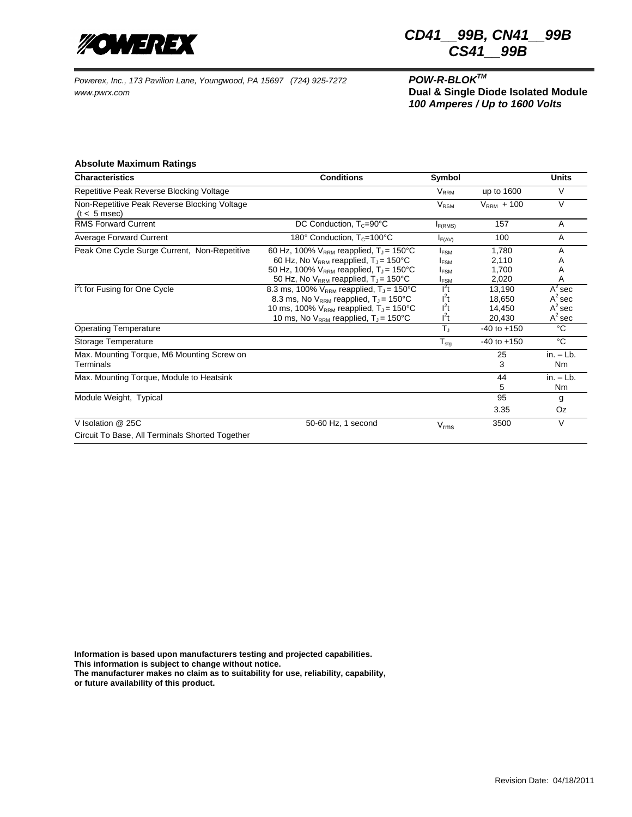

*Powerex, Inc., 173 Pavilion Lane, Youngwood, PA 15697 (724) 925-7272 POW-R-BLOKTM www.pwrx.com* **Dual & Single Diode Isolated Module**

## *CD41\_\_99B, CN41\_\_99B CS41\_\_99B*

*100 Amperes / Up to 1600 Volts*

### **Absolute Maximum Ratings**

| <b>Characteristics</b>                                               | <b>Conditions</b>                                                                                                                                                                                                         | Symbol                                                                           |                                      | <b>Units</b>                                     |
|----------------------------------------------------------------------|---------------------------------------------------------------------------------------------------------------------------------------------------------------------------------------------------------------------------|----------------------------------------------------------------------------------|--------------------------------------|--------------------------------------------------|
| Repetitive Peak Reverse Blocking Voltage                             |                                                                                                                                                                                                                           | $V_{RRM}$                                                                        | up to 1600                           | V                                                |
| Non-Repetitive Peak Reverse Blocking Voltage<br>$(t < 5$ msec)       |                                                                                                                                                                                                                           | <b>V<sub>RSM</sub></b>                                                           | $VRRM + 100$                         | $\vee$                                           |
| <b>RMS Forward Current</b>                                           | DC Conduction, $T_c = 90^\circ C$                                                                                                                                                                                         | $I_{F(RMS)}$                                                                     | 157                                  | A                                                |
| <b>Average Forward Current</b>                                       | 180° Conduction, T <sub>c</sub> =100°C<br>$I_{F(AV)}$                                                                                                                                                                     |                                                                                  | 100                                  | A                                                |
| Peak One Cycle Surge Current, Non-Repetitive                         | 60 Hz, 100% $V_{RRM}$ reapplied, $T_J = 150^{\circ}C$<br>60 Hz, No $V_{RRM}$ reapplied, $T_{J}$ = 150°C<br>50 Hz, 100% $V_{RRM}$ reapplied, $T_J$ = 150°C<br>50 Hz, No V <sub>RRM</sub> reapplied, T <sub>J</sub> = 150°C | <b>I</b> <sub>ESM</sub><br><b>IFSM</b><br><b>I</b> <sub>ESM</sub><br><b>IFSM</b> | 1,780<br>2,110<br>1.700<br>2,020     | A<br>Α<br>Α<br>A                                 |
| I <sup>2</sup> t for Fusing for One Cycle                            | 8.3 ms, 100% $V_{RRM}$ reapplied, $T_{J}$ = 150°C<br>8.3 ms, No $V_{RRM}$ reapplied, $T_J = 150^{\circ}C$<br>10 ms, 100% $V_{RRM}$ reapplied, $T_J = 150^{\circ}C$<br>10 ms, No $V_{RRM}$ reapplied, $T_J = 150^{\circ}C$ | $I^2t$<br>$I^2t$<br>$l^2t$<br>$I^2t$                                             | 13,190<br>18,650<br>14,450<br>20.430 | $A^2$ sec<br>$A^2$ sec<br>$A^2$ sec<br>$A^2$ sec |
| <b>Operating Temperature</b>                                         |                                                                                                                                                                                                                           | $T_J$                                                                            | $-40$ to $+150$                      | °C                                               |
| Storage Temperature                                                  |                                                                                                                                                                                                                           | $T_{\text{stg}}$                                                                 | $-40$ to $+150$                      | $^{\circ}C$                                      |
| Max. Mounting Torque, M6 Mounting Screw on<br>Terminals              |                                                                                                                                                                                                                           |                                                                                  | 25<br>3                              | $in. - Lb.$<br>Nm                                |
| Max. Mounting Torque, Module to Heatsink                             |                                                                                                                                                                                                                           |                                                                                  | 44<br>5                              | $in. - Lb.$<br>Nm                                |
| Module Weight, Typical                                               |                                                                                                                                                                                                                           |                                                                                  | 95                                   | g                                                |
|                                                                      |                                                                                                                                                                                                                           |                                                                                  | 3.35                                 | Oz                                               |
| V Isolation @ 25C<br>Circuit To Base, All Terminals Shorted Together | 50-60 Hz, 1 second                                                                                                                                                                                                        | $V_{\text{rms}}$                                                                 | 3500                                 | V                                                |

**Information is based upon manufacturers testing and projected capabilities.**

**This information is subject to change without notice.**

**The manufacturer makes no claim as to suitability for use, reliability, capability,**

**or future availability of this product.**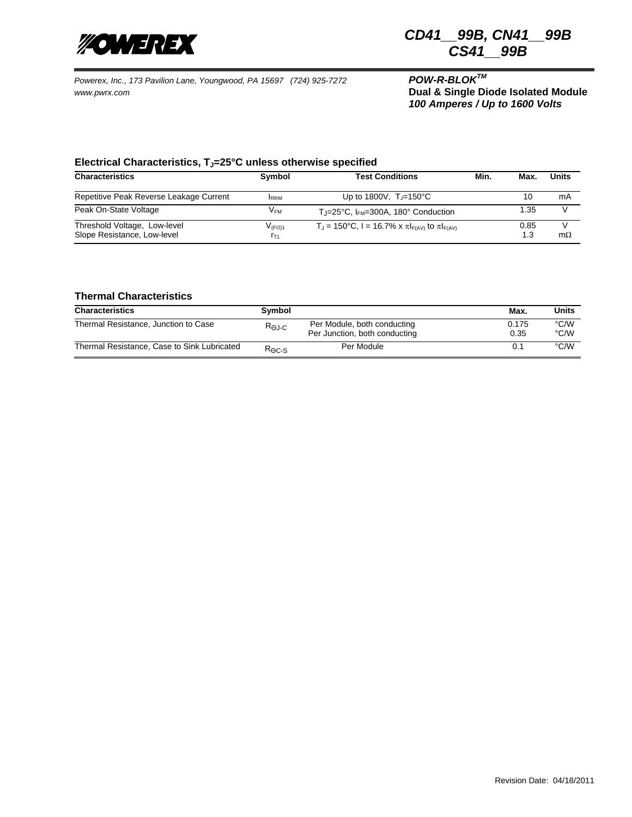

*CD41\_\_99B, CN41\_\_99B CS41\_\_99B*

*Powerex, Inc., 173 Pavilion Lane, Youngwood, PA 15697 (724) 925-7272 POW-R-BLOKTM www.pwrx.com* **Dual & Single Diode Isolated Module**

*100 Amperes / Up to 1600 Volts*

## **Electrical Characteristics, TJ=25°C unless otherwise specified**

| <b>Characteristics</b>                                      | Symbol                  | <b>Test Conditions</b>                                       | Min. | Max         | <b>Units</b> |
|-------------------------------------------------------------|-------------------------|--------------------------------------------------------------|------|-------------|--------------|
| Repetitive Peak Reverse Leakage Current                     | <b>IRRM</b>             | Up to 1800V, $T = 150^{\circ}C$                              |      | 10          | mA           |
| Peak On-State Voltage                                       | V <sub>FM</sub>         | $T_{\text{J}}$ =25°C, I <sub>FM</sub> =300A, 180° Conduction |      | 1.35        |              |
| Threshold Voltage, Low-level<br>Slope Resistance, Low-level | $V_{(FO)1}$<br>$r_{T1}$ | $T_{J}$ = 150°C, I = 16.7% x π $F_{F(AV)}$ to π $F_{F(AV)}$  |      | 0.85<br>1.3 | $m\Omega$    |

#### **Thermal Characteristics**

| <b>Characteristics</b>                      | Symbol                    |                                                              | Max.          | Units        |
|---------------------------------------------|---------------------------|--------------------------------------------------------------|---------------|--------------|
| Thermal Resistance, Junction to Case        | $R_{\Theta J \text{-} C}$ | Per Module, both conducting<br>Per Junction, both conducting | 0.175<br>0.35 | °C/W<br>°C/W |
| Thermal Resistance, Case to Sink Lubricated | $R_{\Theta C-S}$          | Per Module                                                   | 0.1           | °C/W         |